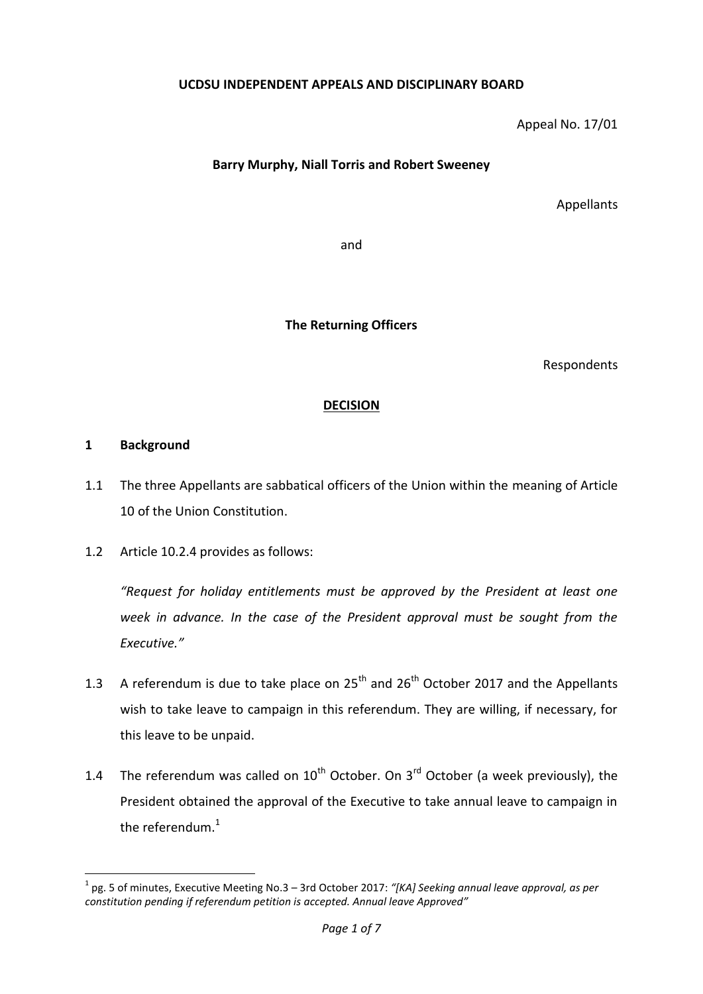### **UCDSU INDEPENDENT APPEALS AND DISCIPLINARY BOARD**

Appeal No. 17/01

## **Barry Murphy, Niall Torris and Robert Sweeney**

Appellants

and

**The Returning Officers**

Respondents

### **DECISION**

#### **1 Background**

**.** 

- 1.1 The three Appellants are sabbatical officers of the Union within the meaning of Article 10 of the Union Constitution.
- 1.2 Article 10.2.4 provides as follows:

*"Request for holiday entitlements must be approved by the President at least one week in advance. In the case of the President approval must be sought from the Executive."*

- 1.3 A referendum is due to take place on  $25<sup>th</sup>$  and  $26<sup>th</sup>$  October 2017 and the Appellants wish to take leave to campaign in this referendum. They are willing, if necessary, for this leave to be unpaid.
- 1.4 The referendum was called on  $10^{th}$  October. On  $3^{rd}$  October (a week previously), the President obtained the approval of the Executive to take annual leave to campaign in the referendum. $1$

<sup>1</sup> pg. 5 of minutes, Executive Meeting No.3 – 3rd October 2017: *"[KA] Seeking annual leave approval, as per constitution pending if referendum petition is accepted. Annual leave Approved"*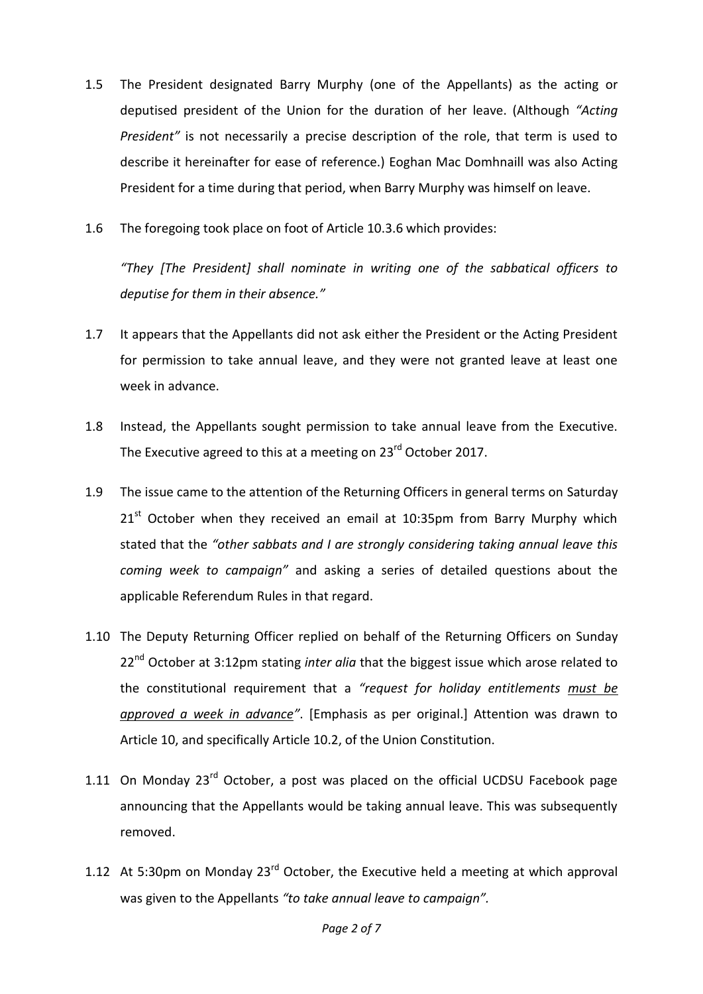- 1.5 The President designated Barry Murphy (one of the Appellants) as the acting or deputised president of the Union for the duration of her leave. (Although *"Acting President"* is not necessarily a precise description of the role, that term is used to describe it hereinafter for ease of reference.) Eoghan Mac Domhnaill was also Acting President for a time during that period, when Barry Murphy was himself on leave.
- 1.6 The foregoing took place on foot of Article 10.3.6 which provides:

*"They [The President] shall nominate in writing one of the sabbatical officers to deputise for them in their absence."*

- 1.7 It appears that the Appellants did not ask either the President or the Acting President for permission to take annual leave, and they were not granted leave at least one week in advance.
- 1.8 Instead, the Appellants sought permission to take annual leave from the Executive. The Executive agreed to this at a meeting on 23<sup>rd</sup> October 2017.
- 1.9 The issue came to the attention of the Returning Officers in general terms on Saturday  $21<sup>st</sup>$  October when they received an email at 10:35pm from Barry Murphy which stated that the *"other sabbats and I are strongly considering taking annual leave this coming week to campaign"* and asking a series of detailed questions about the applicable Referendum Rules in that regard.
- 1.10 The Deputy Returning Officer replied on behalf of the Returning Officers on Sunday 22<sup>nd</sup> October at 3:12pm stating *inter alia* that the biggest issue which arose related to the constitutional requirement that a *"request for holiday entitlements must be approved a week in advance"*. [Emphasis as per original.] Attention was drawn to Article 10, and specifically Article 10.2, of the Union Constitution.
- 1.11 On Monday  $23^{rd}$  October, a post was placed on the official UCDSU Facebook page announcing that the Appellants would be taking annual leave. This was subsequently removed.
- 1.12 At 5:30pm on Monday  $23^{rd}$  October, the Executive held a meeting at which approval was given to the Appellants *"to take annual leave to campaign".*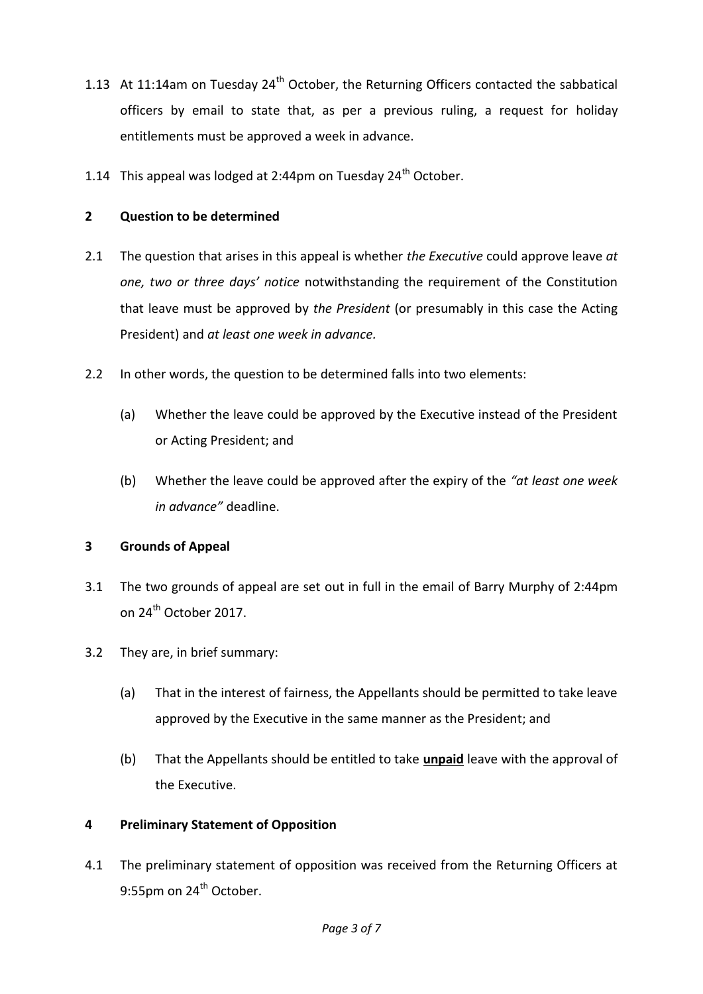- 1.13 At 11:14am on Tuesday  $24<sup>th</sup>$  October, the Returning Officers contacted the sabbatical officers by email to state that, as per a previous ruling, a request for holiday entitlements must be approved a week in advance.
- 1.14 This appeal was lodged at 2:44pm on Tuesday  $24<sup>th</sup>$  October.

## **2 Question to be determined**

- 2.1 The question that arises in this appeal is whether *the Executive* could approve leave *at one, two or three days' notice* notwithstanding the requirement of the Constitution that leave must be approved by *the President* (or presumably in this case the Acting President) and *at least one week in advance.*
- 2.2 In other words, the question to be determined falls into two elements:
	- (a) Whether the leave could be approved by the Executive instead of the President or Acting President; and
	- (b) Whether the leave could be approved after the expiry of the *"at least one week in advance"* deadline.

## **3 Grounds of Appeal**

- 3.1 The two grounds of appeal are set out in full in the email of Barry Murphy of 2:44pm on 24<sup>th</sup> October 2017.
- 3.2 They are, in brief summary:
	- (a) That in the interest of fairness, the Appellants should be permitted to take leave approved by the Executive in the same manner as the President; and
	- (b) That the Appellants should be entitled to take **unpaid** leave with the approval of the Executive.

# **4 Preliminary Statement of Opposition**

4.1 The preliminary statement of opposition was received from the Returning Officers at 9:55pm on 24<sup>th</sup> October.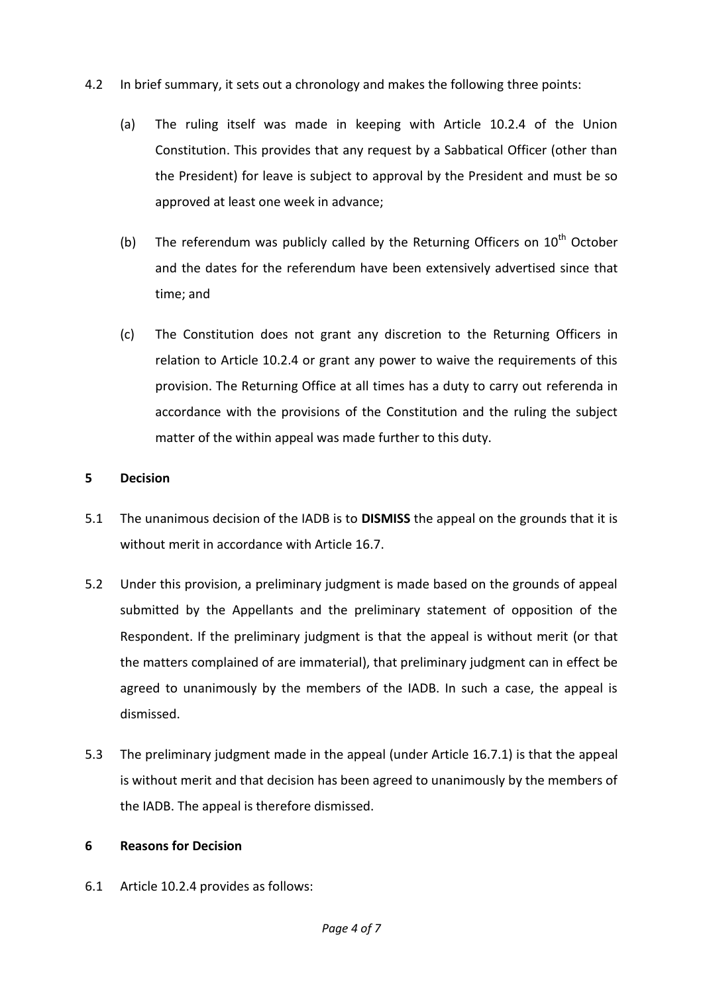- 4.2 In brief summary, it sets out a chronology and makes the following three points:
	- (a) The ruling itself was made in keeping with Article 10.2.4 of the Union Constitution. This provides that any request by a Sabbatical Officer (other than the President) for leave is subject to approval by the President and must be so approved at least one week in advance;
	- (b) The referendum was publicly called by the Returning Officers on  $10^{th}$  October and the dates for the referendum have been extensively advertised since that time; and
	- (c) The Constitution does not grant any discretion to the Returning Officers in relation to Article 10.2.4 or grant any power to waive the requirements of this provision. The Returning Office at all times has a duty to carry out referenda in accordance with the provisions of the Constitution and the ruling the subject matter of the within appeal was made further to this duty.

### **5 Decision**

- 5.1 The unanimous decision of the IADB is to **DISMISS** the appeal on the grounds that it is without merit in accordance with Article 16.7.
- 5.2 Under this provision, a preliminary judgment is made based on the grounds of appeal submitted by the Appellants and the preliminary statement of opposition of the Respondent. If the preliminary judgment is that the appeal is without merit (or that the matters complained of are immaterial), that preliminary judgment can in effect be agreed to unanimously by the members of the IADB. In such a case, the appeal is dismissed.
- 5.3 The preliminary judgment made in the appeal (under Article 16.7.1) is that the appeal is without merit and that decision has been agreed to unanimously by the members of the IADB. The appeal is therefore dismissed.

## **6 Reasons for Decision**

6.1 Article 10.2.4 provides as follows: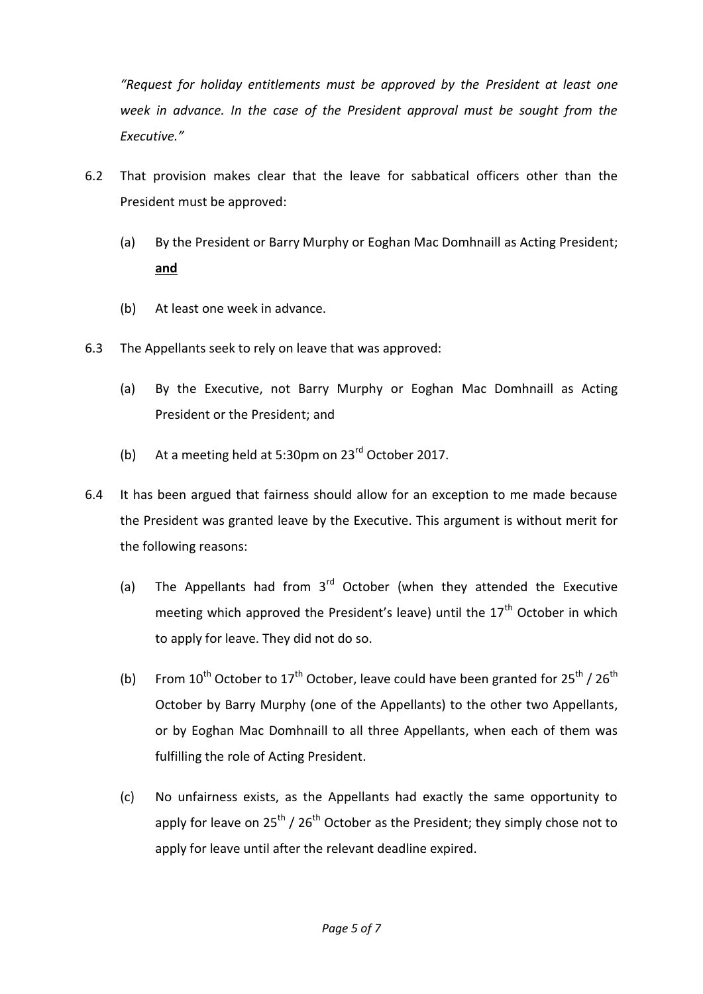*"Request for holiday entitlements must be approved by the President at least one week in advance. In the case of the President approval must be sought from the Executive."*

- 6.2 That provision makes clear that the leave for sabbatical officers other than the President must be approved:
	- (a) By the President or Barry Murphy or Eoghan Mac Domhnaill as Acting President; **and**
	- (b) At least one week in advance.
- 6.3 The Appellants seek to rely on leave that was approved:
	- (a) By the Executive, not Barry Murphy or Eoghan Mac Domhnaill as Acting President or the President; and
	- (b) At a meeting held at 5:30pm on  $23<sup>rd</sup>$  October 2017.
- 6.4 It has been argued that fairness should allow for an exception to me made because the President was granted leave by the Executive. This argument is without merit for the following reasons:
	- (a) The Appellants had from  $3<sup>rd</sup>$  October (when they attended the Executive meeting which approved the President's leave) until the  $17<sup>th</sup>$  October in which to apply for leave. They did not do so.
	- (b) From  $10^{th}$  October to  $17^{th}$  October, leave could have been granted for  $25^{th}$  /  $26^{th}$ October by Barry Murphy (one of the Appellants) to the other two Appellants, or by Eoghan Mac Domhnaill to all three Appellants, when each of them was fulfilling the role of Acting President.
	- (c) No unfairness exists, as the Appellants had exactly the same opportunity to apply for leave on 25<sup>th</sup> / 26<sup>th</sup> October as the President; they simply chose not to apply for leave until after the relevant deadline expired.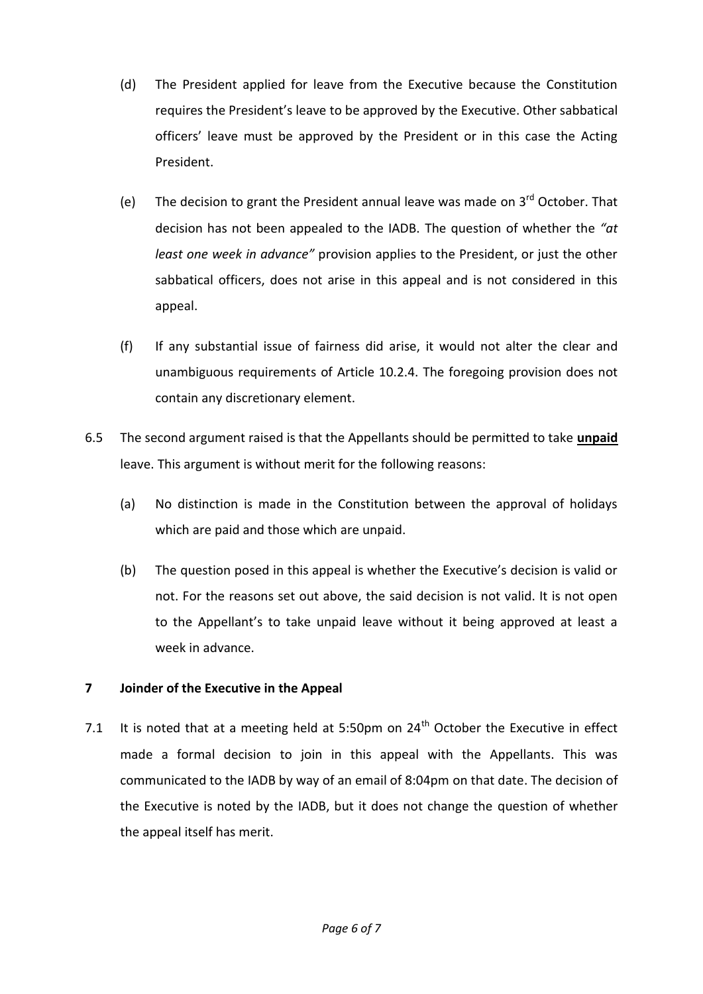- (d) The President applied for leave from the Executive because the Constitution requires the President's leave to be approved by the Executive. Other sabbatical officers' leave must be approved by the President or in this case the Acting President.
- (e) The decision to grant the President annual leave was made on  $3<sup>rd</sup>$  October. That decision has not been appealed to the IADB. The question of whether the *"at least one week in advance"* provision applies to the President, or just the other sabbatical officers, does not arise in this appeal and is not considered in this appeal.
- (f) If any substantial issue of fairness did arise, it would not alter the clear and unambiguous requirements of Article 10.2.4. The foregoing provision does not contain any discretionary element.
- 6.5 The second argument raised is that the Appellants should be permitted to take **unpaid** leave. This argument is without merit for the following reasons:
	- (a) No distinction is made in the Constitution between the approval of holidays which are paid and those which are unpaid.
	- (b) The question posed in this appeal is whether the Executive's decision is valid or not. For the reasons set out above, the said decision is not valid. It is not open to the Appellant's to take unpaid leave without it being approved at least a week in advance.

## **7 Joinder of the Executive in the Appeal**

7.1 It is noted that at a meeting held at 5:50pm on  $24<sup>th</sup>$  October the Executive in effect made a formal decision to join in this appeal with the Appellants. This was communicated to the IADB by way of an email of 8:04pm on that date. The decision of the Executive is noted by the IADB, but it does not change the question of whether the appeal itself has merit.